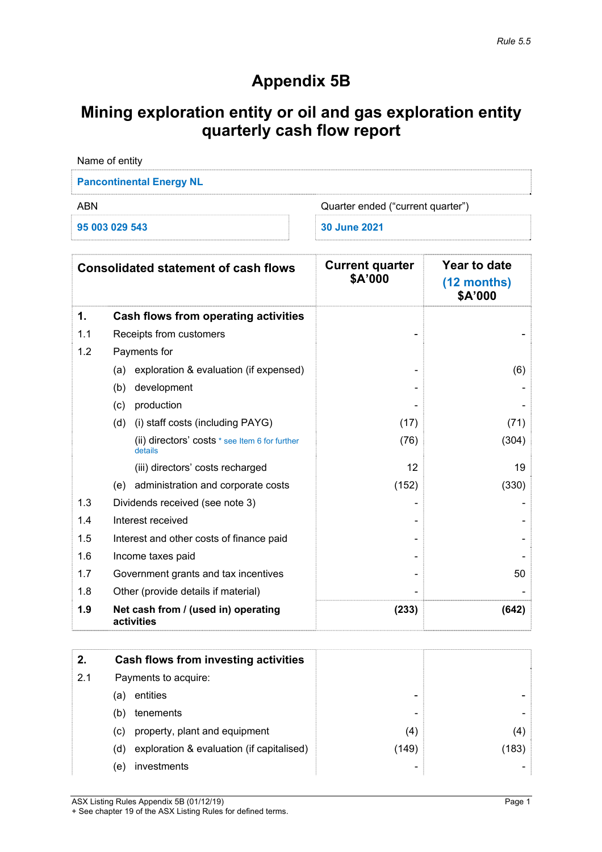# **Appendix 5B**

# **Mining exploration entity or oil and gas exploration entity quarterly cash flow report**

| Name of entity                           |              |  |  |
|------------------------------------------|--------------|--|--|
| <b>Pancontinental Energy NL</b>          |              |  |  |
| ABN<br>Quarter ended ("current quarter") |              |  |  |
| 95 003 029 543                           | 30 June 2021 |  |  |

|     | <b>Consolidated statement of cash flows</b>               | <b>Current quarter</b><br>\$A'000 | Year to date<br>$(12$ months)<br>\$A'000 |
|-----|-----------------------------------------------------------|-----------------------------------|------------------------------------------|
| 1.  | Cash flows from operating activities                      |                                   |                                          |
| 1.1 | Receipts from customers                                   |                                   |                                          |
| 1.2 | Payments for                                              |                                   |                                          |
|     | exploration & evaluation (if expensed)<br>(a)             |                                   | (6)                                      |
|     | (b)<br>development                                        |                                   |                                          |
|     | production<br>(c)                                         |                                   |                                          |
|     | (i) staff costs (including PAYG)<br>(d)                   | (17)                              | (71)                                     |
|     | (ii) directors' costs * see Item 6 for further<br>details | (76)                              | (304)                                    |
|     | (iii) directors' costs recharged                          | 12                                | 19                                       |
|     | administration and corporate costs<br>(e)                 | (152)                             | (330)                                    |
| 1.3 | Dividends received (see note 3)                           |                                   |                                          |
| 1.4 | Interest received                                         |                                   |                                          |
| 1.5 | Interest and other costs of finance paid                  |                                   |                                          |
| 1.6 | Income taxes paid                                         |                                   |                                          |
| 1.7 | Government grants and tax incentives                      |                                   | 50                                       |
| 1.8 | Other (provide details if material)                       |                                   |                                          |
| 1.9 | Net cash from / (used in) operating<br>activities         | (233)                             | (642)                                    |

| 2.  |     | Cash flows from investing activities      |       |       |
|-----|-----|-------------------------------------------|-------|-------|
| 2.1 |     | Payments to acquire:                      |       |       |
|     | (a) | entities                                  | -     |       |
|     | (b) | tenements                                 | -     |       |
|     | (C) | property, plant and equipment             | (4)   | (4)   |
|     | (d) | exploration & evaluation (if capitalised) | (149) | (183) |
|     | (e) | investments                               | -     |       |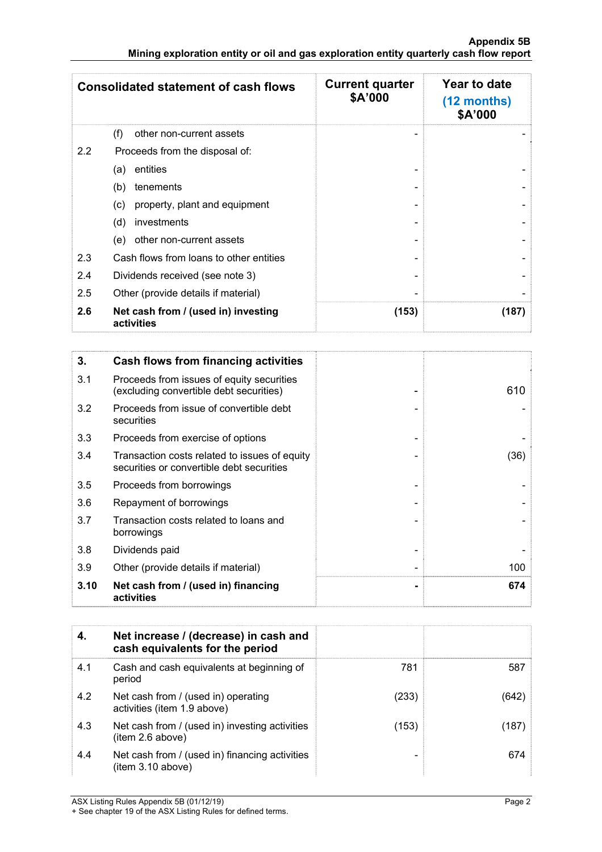|     | <b>Consolidated statement of cash flows</b>       | <b>Current quarter</b><br>\$A'000 | Year to date<br>$(12$ months)<br>\$A'000 |
|-----|---------------------------------------------------|-----------------------------------|------------------------------------------|
|     | (f)<br>other non-current assets                   |                                   |                                          |
| 2.2 | Proceeds from the disposal of:                    |                                   |                                          |
|     | entities<br>(a)                                   |                                   |                                          |
|     | tenements<br>(b)                                  |                                   |                                          |
|     | property, plant and equipment<br>(c)              |                                   |                                          |
|     | investments<br>(d)                                |                                   |                                          |
|     | other non-current assets<br>(e)                   |                                   |                                          |
| 2.3 | Cash flows from loans to other entities           |                                   |                                          |
| 2.4 | Dividends received (see note 3)                   |                                   |                                          |
| 2.5 | Other (provide details if material)               |                                   |                                          |
| 2.6 | Net cash from / (used in) investing<br>activities | (153)                             | (187)                                    |

| 3.   | Cash flows from financing activities                                                       |      |
|------|--------------------------------------------------------------------------------------------|------|
| 3.1  | Proceeds from issues of equity securities<br>(excluding convertible debt securities)       | 610  |
| 3.2  | Proceeds from issue of convertible debt<br>securities                                      |      |
| 3.3  | Proceeds from exercise of options                                                          |      |
| 3.4  | Transaction costs related to issues of equity<br>securities or convertible debt securities | (36) |
| 3.5  | Proceeds from borrowings                                                                   |      |
| 3.6  | Repayment of borrowings                                                                    |      |
| 3.7  | Transaction costs related to loans and<br>borrowings                                       |      |
| 3.8  | Dividends paid                                                                             |      |
| 3.9  | Other (provide details if material)                                                        | 100  |
| 3.10 | Net cash from / (used in) financing<br>activities                                          | 674  |

| 4.  | Net increase / (decrease) in cash and<br>cash equivalents for the period |       |       |
|-----|--------------------------------------------------------------------------|-------|-------|
| 4.1 | Cash and cash equivalents at beginning of<br>period                      | 781   | 587   |
| 4.2 | Net cash from / (used in) operating<br>activities (item 1.9 above)       | (233) | (642) |
| 4.3 | Net cash from / (used in) investing activities<br>item 2.6 above)        | (153) | (187) |
| 4.4 | Net cash from / (used in) financing activities<br>(item 3.10 above)      |       | 674   |

ASX Listing Rules Appendix 5B (01/12/19) Page 2

<sup>+</sup> See chapter 19 of the ASX Listing Rules for defined terms.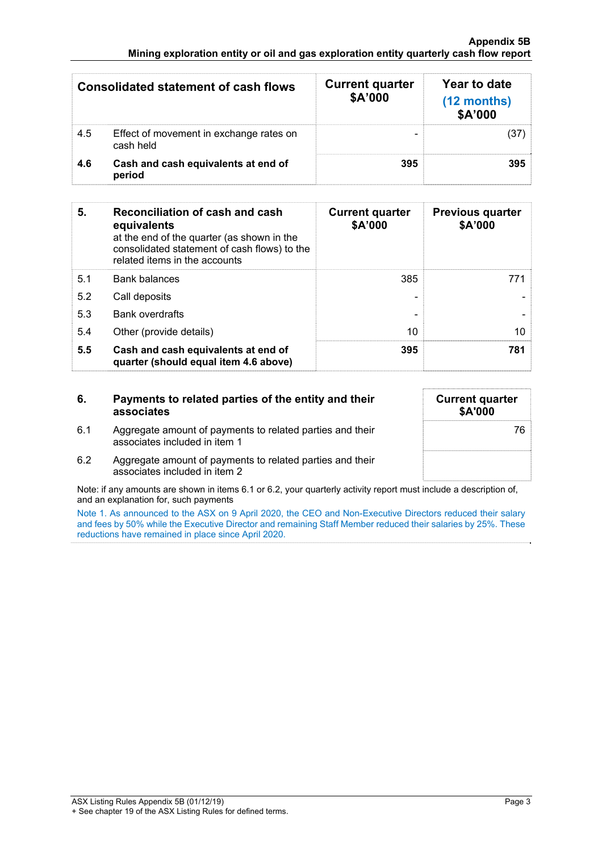### **Appendix 5B Mining exploration entity or oil and gas exploration entity quarterly cash flow report**

|     | <b>Consolidated statement of cash flows</b>          | <b>Current quarter</b><br>\$A'000 | Year to date<br>(12 months)<br>\$A'000 |
|-----|------------------------------------------------------|-----------------------------------|----------------------------------------|
| 4.5 | Effect of movement in exchange rates on<br>cash held |                                   | (37                                    |
| 4.6 | Cash and cash equivalents at end of<br>period        | 395                               | 395                                    |

| 5.  | Reconciliation of cash and cash<br>equivalents<br>at the end of the quarter (as shown in the<br>consolidated statement of cash flows) to the<br>related items in the accounts | <b>Current quarter</b><br>\$A'000 | <b>Previous quarter</b><br>\$A'000 |
|-----|-------------------------------------------------------------------------------------------------------------------------------------------------------------------------------|-----------------------------------|------------------------------------|
| 5.1 | <b>Bank balances</b>                                                                                                                                                          | 385                               | 771                                |
| 5.2 | Call deposits                                                                                                                                                                 |                                   |                                    |
| 5.3 | <b>Bank overdrafts</b>                                                                                                                                                        |                                   |                                    |
| 5.4 | Other (provide details)                                                                                                                                                       | 10                                | 10                                 |
| 5.5 | Cash and cash equivalents at end of<br>quarter (should equal item 4.6 above)                                                                                                  | 395                               | 781                                |

| 6.  | Payments to related parties of the entity and their<br>associates                          | <b>Current quarter</b><br>\$A'000 |
|-----|--------------------------------------------------------------------------------------------|-----------------------------------|
| 6.1 | Aggregate amount of payments to related parties and their<br>associates included in item 1 | 76                                |
| 6.2 | Aggregate amount of payments to related parties and their<br>associates included in item 2 |                                   |

Note: if any amounts are shown in items 6.1 or 6.2, your quarterly activity report must include a description of, and an explanation for, such payments

Note 1. As announced to the ASX on 9 April 2020, the CEO and Non-Executive Directors reduced their salary and fees by 50% while the Executive Director and remaining Staff Member reduced their salaries by 25%. These reductions have remained in place since April 2020.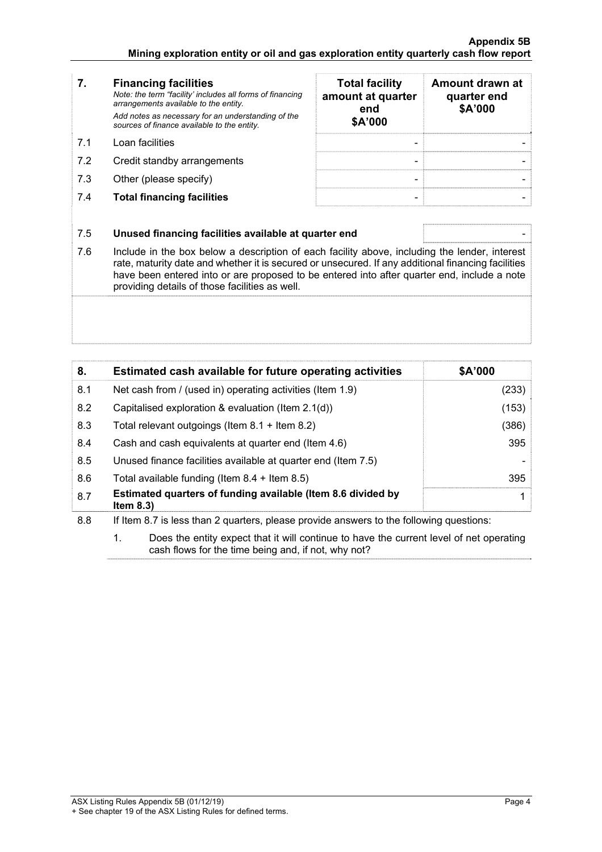|    | <b>Financing facilities</b><br>Note: the term "facility' includes all forms of financing<br>arrangements available to the entity.<br>Add notes as necessary for an understanding of the<br>sources of finance available to the entity. | <b>Total facility</b><br>amount at quarter<br>end<br>\$A'000 | Amount drawn at<br>quarter end<br>\$A'000 |
|----|----------------------------------------------------------------------------------------------------------------------------------------------------------------------------------------------------------------------------------------|--------------------------------------------------------------|-------------------------------------------|
| 71 | Loan facilities                                                                                                                                                                                                                        |                                                              |                                           |

- 7.2 Credit standby arrangements
- 7.3 Other (please specify)
- **7.4 Total financing facilities**

| <b>Total facility</b><br>amount at quarter<br>end<br>\$A'000 | Amount drawn at<br>quarter end<br>\$A'000 |
|--------------------------------------------------------------|-------------------------------------------|
|                                                              |                                           |
|                                                              |                                           |

## 7.5 **Unused financing facilities available at quarter end** -

7.6 Include in the box below a description of each facility above, including the lender, interest rate, maturity date and whether it is secured or unsecured. If any additional financing facilities have been entered into or are proposed to be entered into after quarter end, include a note providing details of those facilities as well.

| 8.  | Estimated cash available for future operating activities                     | \$A'000 |
|-----|------------------------------------------------------------------------------|---------|
| 8.1 | Net cash from / (used in) operating activities (Item 1.9)                    | (233)   |
| 8.2 | Capitalised exploration & evaluation (Item 2.1(d))                           | (153)   |
| 8.3 | Total relevant outgoings (Item $8.1 +$ Item $8.2$ )                          | (386)   |
| 8.4 | Cash and cash equivalents at quarter end (Item 4.6)                          | 395     |
| 8.5 | Unused finance facilities available at quarter end (Item 7.5)                |         |
| 8.6 | Total available funding (Item $8.4 +$ Item $8.5$ )                           | 395     |
| 8.7 | Estimated quarters of funding available (Item 8.6 divided by<br>Item $8.3$ ) |         |

8.8 If Item 8.7 is less than 2 quarters, please provide answers to the following questions:

 1. Does the entity expect that it will continue to have the current level of net operating cash flows for the time being and, if not, why not?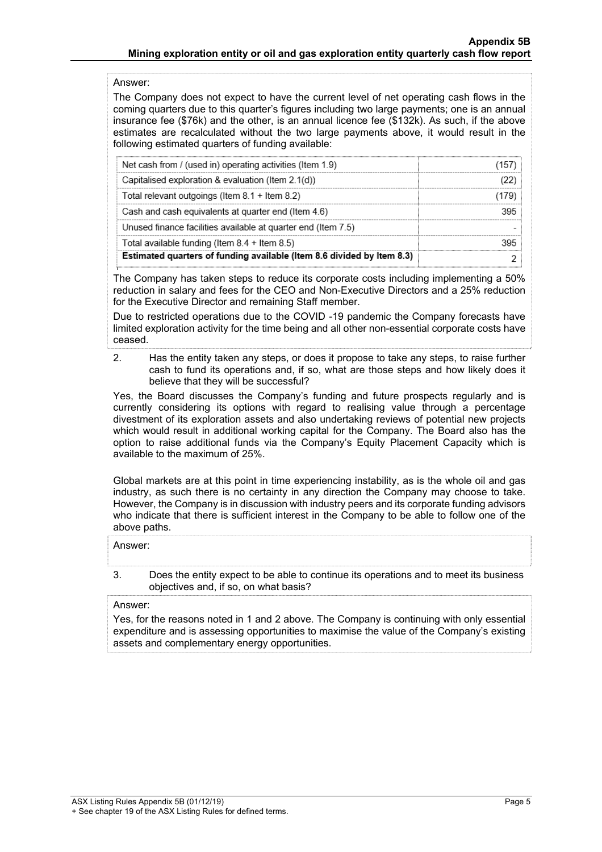## Answer:

The Company does not expect to have the current level of net operating cash flows in the coming quarters due to this quarter's figures including two large payments; one is an annual insurance fee (\$76k) and the other, is an annual licence fee (\$132k). As such, if the above estimates are recalculated without the two large payments above, it would result in the following estimated quarters of funding available:

| Net cash from / (used in) operating activities (Item 1.9)              |      |
|------------------------------------------------------------------------|------|
| Capitalised exploration & evaluation (Item 2.1(d))                     |      |
| Total relevant outgoings (Item $8.1 +$ Item $8.2$ )                    | 1179 |
| Cash and cash equivalents at quarter end (Item 4.6)                    |      |
| Unused finance facilities available at quarter end (Item 7.5)          |      |
| Total available funding (Item $8.4 +$ Item $8.5$ )                     |      |
| Estimated quarters of funding available (Item 8.6 divided by Item 8.3) |      |

The Company has taken steps to reduce its corporate costs including implementing a 50% reduction in salary and fees for the CEO and Non-Executive Directors and a 25% reduction for the Executive Director and remaining Staff member.

Due to restricted operations due to the COVID -19 pandemic the Company forecasts have limited exploration activity for the time being and all other non-essential corporate costs have ceased.

 2. Has the entity taken any steps, or does it propose to take any steps, to raise further cash to fund its operations and, if so, what are those steps and how likely does it believe that they will be successful?

Yes, the Board discusses the Company's funding and future prospects regularly and is currently considering its options with regard to realising value through a percentage divestment of its exploration assets and also undertaking reviews of potential new projects which would result in additional working capital for the Company. The Board also has the option to raise additional funds via the Company's Equity Placement Capacity which is available to the maximum of 25%.

Global markets are at this point in time experiencing instability, as is the whole oil and gas industry, as such there is no certainty in any direction the Company may choose to take. However, the Company is in discussion with industry peers and its corporate funding advisors who indicate that there is sufficient interest in the Company to be able to follow one of the above paths.

#### Answer:

 3. Does the entity expect to be able to continue its operations and to meet its business objectives and, if so, on what basis?

## Answer:

Yes, for the reasons noted in 1 and 2 above. The Company is continuing with only essential expenditure and is assessing opportunities to maximise the value of the Company's existing assets and complementary energy opportunities.